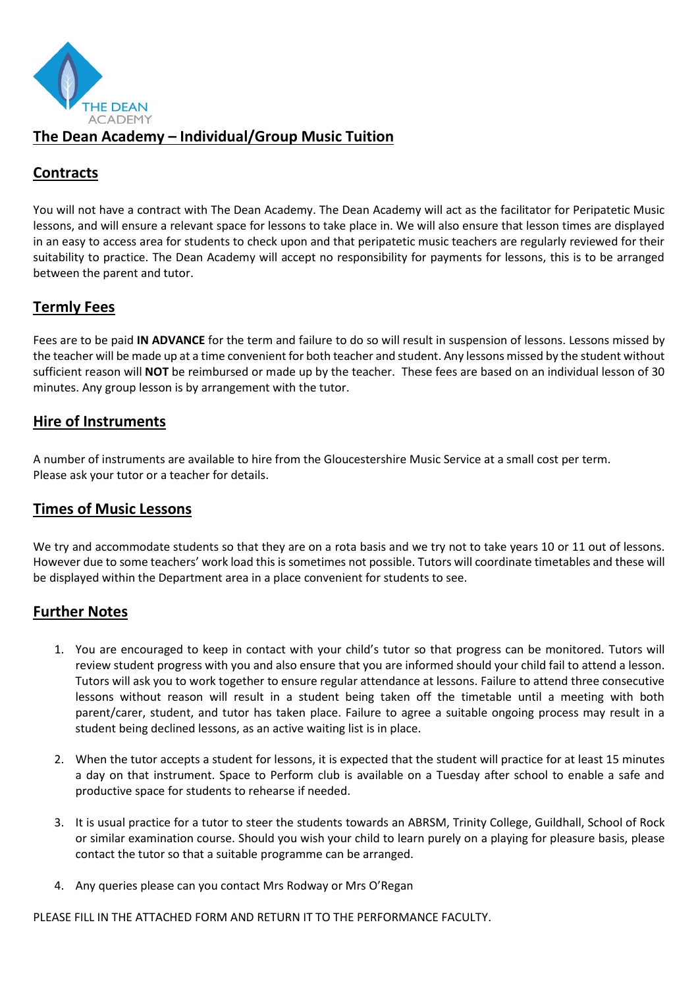

### **The Dean Academy – Individual/Group Music Tuition**

## **Contracts**

You will not have a contract with The Dean Academy. The Dean Academy will act as the facilitator for Peripatetic Music lessons, and will ensure a relevant space for lessons to take place in. We will also ensure that lesson times are displayed in an easy to access area for students to check upon and that peripatetic music teachers are regularly reviewed for their suitability to practice. The Dean Academy will accept no responsibility for payments for lessons, this is to be arranged between the parent and tutor.

# **Termly Fees**

Fees are to be paid **IN ADVANCE** for the term and failure to do so will result in suspension of lessons. Lessons missed by the teacher will be made up at a time convenient for both teacher and student. Any lessons missed by the student without sufficient reason will **NOT** be reimbursed or made up by the teacher. These fees are based on an individual lesson of 30 minutes. Any group lesson is by arrangement with the tutor.

#### **Hire of Instruments**

A number of instruments are available to hire from the Gloucestershire Music Service at a small cost per term. Please ask your tutor or a teacher for details.

#### **Times of Music Lessons**

We try and accommodate students so that they are on a rota basis and we try not to take years 10 or 11 out of lessons. However due to some teachers' work load this is sometimes not possible. Tutors will coordinate timetables and these will be displayed within the Department area in a place convenient for students to see.

#### **Further Notes**

- 1. You are encouraged to keep in contact with your child's tutor so that progress can be monitored. Tutors will review student progress with you and also ensure that you are informed should your child fail to attend a lesson. Tutors will ask you to work together to ensure regular attendance at lessons. Failure to attend three consecutive lessons without reason will result in a student being taken off the timetable until a meeting with both parent/carer, student, and tutor has taken place. Failure to agree a suitable ongoing process may result in a student being declined lessons, as an active waiting list is in place.
- 2. When the tutor accepts a student for lessons, it is expected that the student will practice for at least 15 minutes a day on that instrument. Space to Perform club is available on a Tuesday after school to enable a safe and productive space for students to rehearse if needed.
- 3. It is usual practice for a tutor to steer the students towards an ABRSM, Trinity College, Guildhall, School of Rock or similar examination course. Should you wish your child to learn purely on a playing for pleasure basis, please contact the tutor so that a suitable programme can be arranged.
- 4. Any queries please can you contact Mrs Rodway or Mrs O'Regan

PLEASE FILL IN THE ATTACHED FORM AND RETURN IT TO THE PERFORMANCE FACULTY.